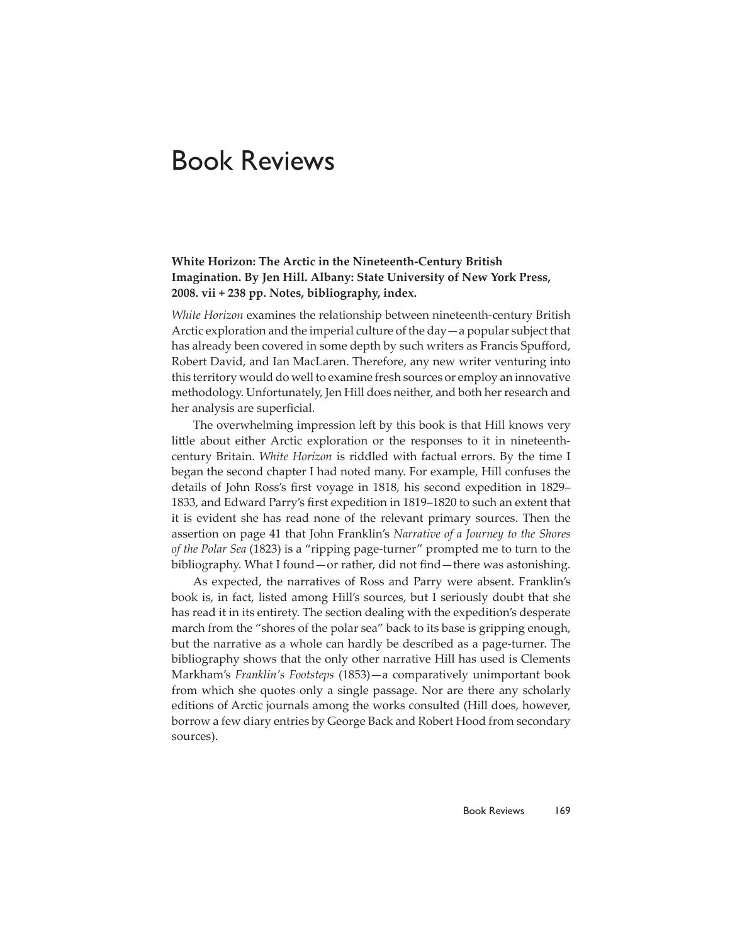## Book Reviews

## **White Horizon: The Arctic in the Nineteenth-Century British Imagination. By Jen Hill. Albany: State University of New York Press, 2008. vii + 238 pp. Notes, bibliography, index.**

*White Horizon* examines the relationship between nineteenth-century British Arctic exploration and the imperial culture of the day—a popular subject that has already been covered in some depth by such writers as Francis Spufford, Robert David, and Ian MacLaren. Therefore, any new writer venturing into this territory would do well to examine fresh sources or employ an innovative methodology. Unfortunately, Jen Hill does neither, and both her research and her analysis are superficial.

The overwhelming impression left by this book is that Hill knows very little about either Arctic exploration or the responses to it in nineteenthcentury Britain. *White Horizon* is riddled with factual errors. By the time I began the second chapter I had noted many. For example, Hill confuses the details of John Ross's first voyage in 1818, his second expedition in 1829– 1833, and Edward Parry's first expedition in 1819-1820 to such an extent that it is evident she has read none of the relevant primary sources. Then the assertion on page 41 that John Franklin's *Narrative of a Journey to the Shores of the Polar Sea* (1823) is a "ripping page-turner" prompted me to turn to the bibliography. What I found—or rather, did not find—there was astonishing.

As expected, the narratives of Ross and Parry were absent. Franklin's book is, in fact, listed among Hill's sources, but I seriously doubt that she has read it in its entirety. The section dealing with the expedition's desperate march from the "shores of the polar sea" back to its base is gripping enough, but the narrative as a whole can hardly be described as a page-turner. The bibliography shows that the only other narrative Hill has used is Clements Markham's *Franklin's Footsteps* (1853)—a comparatively unimportant book from which she quotes only a single passage. Nor are there any scholarly editions of Arctic journals among the works consulted (Hill does, however, borrow a few diary entries by George Back and Robert Hood from secondary sources).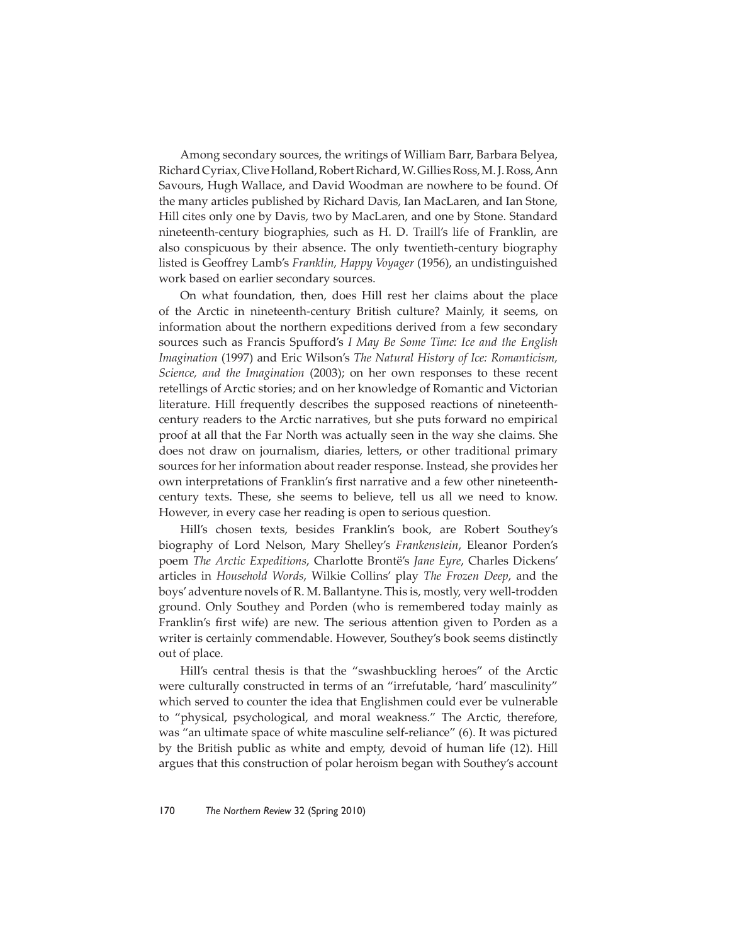Among secondary sources, the writings of William Barr, Barbara Belyea, Richard Cyriax, Clive Holland, Robert Richard, W. Gillies Ross, M. J. Ross, Ann Savours, Hugh Wallace, and David Woodman are nowhere to be found. Of the many articles published by Richard Davis, Ian MacLaren, and Ian Stone, Hill cites only one by Davis, two by MacLaren, and one by Stone. Standard nineteenth-century biographies, such as H. D. Traill's life of Franklin, are also conspicuous by their absence. The only twentieth-century biography listed is Geoffrey Lamb's *Franklin, Happy Voyager* (1956), an undistinguished work based on earlier secondary sources.

On what foundation, then, does Hill rest her claims about the place of the Arctic in nineteenth-century British culture? Mainly, it seems, on information about the northern expeditions derived from a few secondary sources such as Francis Spufford's *I May Be Some Time: Ice and the English Imagination* (1997) and Eric Wilson's *The Natural History of Ice: Romanticism, Science, and the Imagination* (2003); on her own responses to these recent retellings of Arctic stories; and on her knowledge of Romantic and Victorian literature. Hill frequently describes the supposed reactions of nineteenthcentury readers to the Arctic narratives, but she puts forward no empirical proof at all that the Far North was actually seen in the way she claims. She does not draw on journalism, diaries, letters, or other traditional primary sources for her information about reader response. Instead, she provides her own interpretations of Franklin's first narrative and a few other nineteenthcentury texts. These, she seems to believe, tell us all we need to know. However, in every case her reading is open to serious question.

Hill's chosen texts, besides Franklin's book, are Robert Southey's biography of Lord Nelson, Mary Shelley's *Frankenstein*, Eleanor Porden's poem *The Arctic Expeditions*, Charlotte Brontë's *Jane Eyre*, Charles Dickens' articles in *Household Words*, Wilkie Collins' play *The Frozen Deep*, and the boys' adventure novels of R. M. Ballantyne. This is, mostly, very well-trodden ground. Only Southey and Porden (who is remembered today mainly as Franklin's first wife) are new. The serious attention given to Porden as a writer is certainly commendable. However, Southey's book seems distinctly out of place.

Hill's central thesis is that the "swashbuckling heroes" of the Arctic were culturally constructed in terms of an "irrefutable, 'hard' masculinity" which served to counter the idea that Englishmen could ever be vulnerable to "physical, psychological, and moral weakness." The Arctic, therefore, was "an ultimate space of white masculine self-reliance" (6). It was pictured by the British public as white and empty, devoid of human life (12). Hill argues that this construction of polar heroism began with Southey's account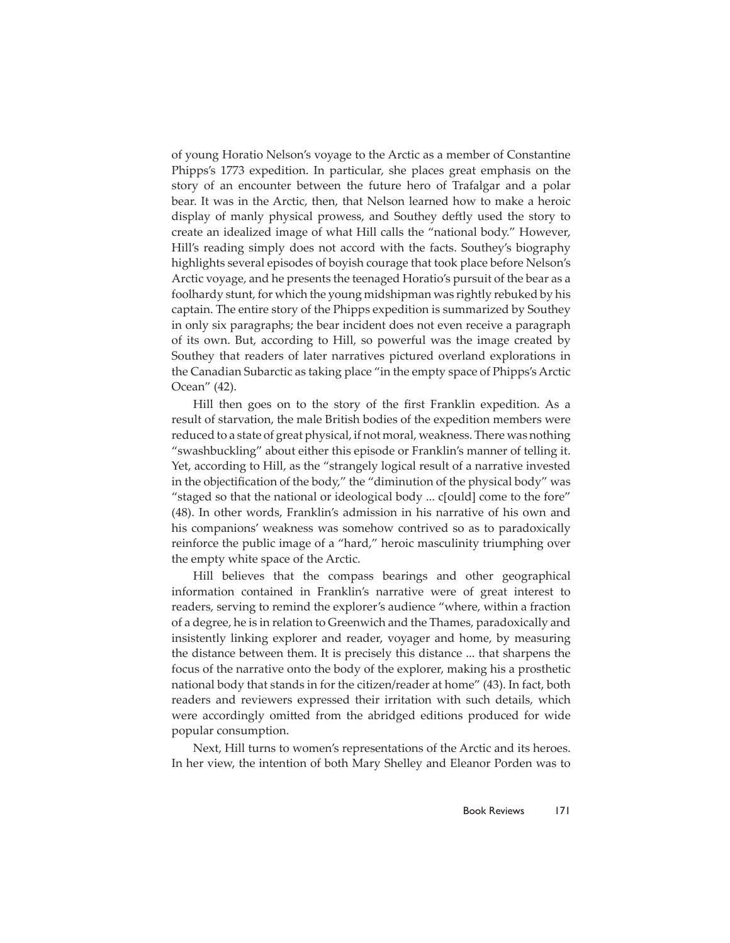of young Horatio Nelson's voyage to the Arctic as a member of Constantine Phipps's 1773 expedition. In particular, she places great emphasis on the story of an encounter between the future hero of Trafalgar and a polar bear. It was in the Arctic, then, that Nelson learned how to make a heroic display of manly physical prowess, and Southey deftly used the story to create an idealized image of what Hill calls the "national body." However, Hill's reading simply does not accord with the facts. Southey's biography highlights several episodes of boyish courage that took place before Nelson's Arctic voyage, and he presents the teenaged Horatio's pursuit of the bear as a foolhardy stunt, for which the young midshipman was rightly rebuked by his captain. The entire story of the Phipps expedition is summarized by Southey in only six paragraphs; the bear incident does not even receive a paragraph of its own. But, according to Hill, so powerful was the image created by Southey that readers of later narratives pictured overland explorations in the Canadian Subarctic as taking place "in the empty space of Phipps's Arctic Ocean" (42).

Hill then goes on to the story of the first Franklin expedition. As a result of starvation, the male British bodies of the expedition members were reduced to a state of great physical, if not moral, weakness. There was nothing "swashbuckling" about either this episode or Franklin's manner of telling it. Yet, according to Hill, as the "strangely logical result of a narrative invested in the objectification of the body," the "diminution of the physical body" was "staged so that the national or ideological body ... c[ould] come to the fore" (48). In other words, Franklin's admission in his narrative of his own and his companions' weakness was somehow contrived so as to paradoxically reinforce the public image of a "hard," heroic masculinity triumphing over the empty white space of the Arctic.

Hill believes that the compass bearings and other geographical information contained in Franklin's narrative were of great interest to readers, serving to remind the explorer's audience "where, within a fraction of a degree, he is in relation to Greenwich and the Thames, paradoxically and insistently linking explorer and reader, voyager and home, by measuring the distance between them. It is precisely this distance ... that sharpens the focus of the narrative onto the body of the explorer, making his a prosthetic national body that stands in for the citizen/reader at home" (43). In fact, both readers and reviewers expressed their irritation with such details, which were accordingly omitted from the abridged editions produced for wide popular consumption.

Next, Hill turns to women's representations of the Arctic and its heroes. In her view, the intention of both Mary Shelley and Eleanor Porden was to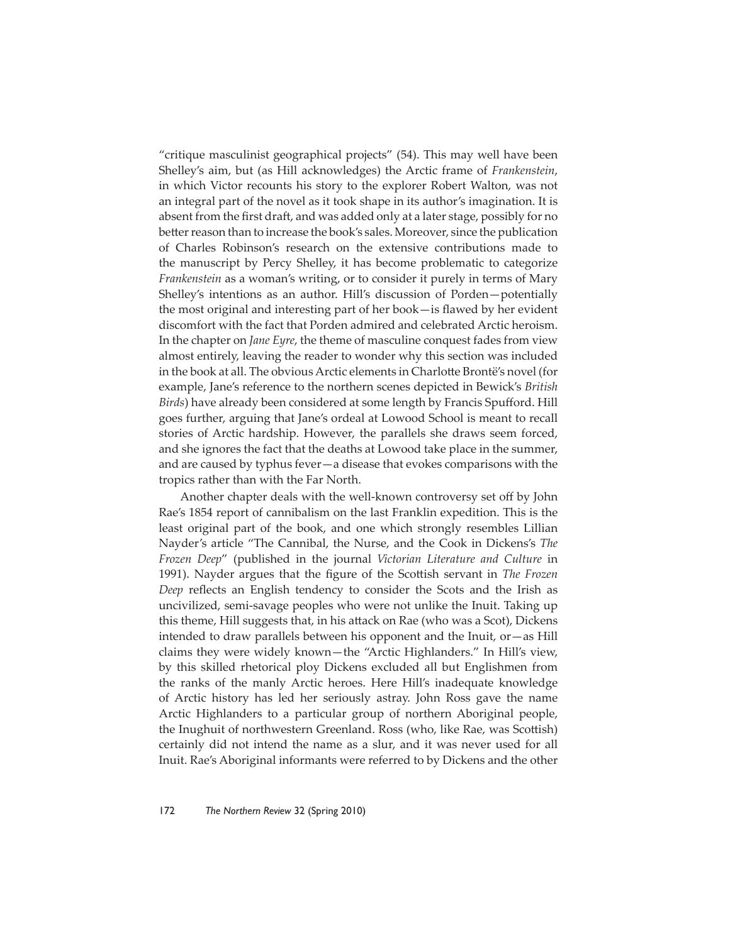"critique masculinist geographical projects" (54). This may well have been Shelley's aim, but (as Hill acknowledges) the Arctic frame of *Frankenstein*, in which Victor recounts his story to the explorer Robert Walton, was not an integral part of the novel as it took shape in its author's imagination. It is absent from the first draft, and was added only at a later stage, possibly for no better reason than to increase the book's sales. Moreover, since the publication of Charles Robinson's research on the extensive contributions made to the manuscript by Percy Shelley, it has become problematic to categorize *Frankenstein* as a woman's writing, or to consider it purely in terms of Mary Shelley's intentions as an author. Hill's discussion of Porden—potentially the most original and interesting part of her book—is flawed by her evident discomfort with the fact that Porden admired and celebrated Arctic heroism. In the chapter on *Jane Eyre*, the theme of masculine conquest fades from view almost entirely, leaving the reader to wonder why this section was included in the book at all. The obvious Arctic elements in Charlotte Brontë's novel (for example, Jane's reference to the northern scenes depicted in Bewick's *British Birds*) have already been considered at some length by Francis Spufford. Hill goes further, arguing that Jane's ordeal at Lowood School is meant to recall stories of Arctic hardship. However, the parallels she draws seem forced, and she ignores the fact that the deaths at Lowood take place in the summer, and are caused by typhus fever—a disease that evokes comparisons with the tropics rather than with the Far North.

Another chapter deals with the well-known controversy set off by John Rae's 1854 report of cannibalism on the last Franklin expedition. This is the least original part of the book, and one which strongly resembles Lillian Nayder's article "The Cannibal, the Nurse, and the Cook in Dickens's *The Frozen Deep*" (published in the journal *Victorian Literature and Culture* in 1991). Nayder argues that the figure of the Scottish servant in *The Frozen Deep* reflects an English tendency to consider the Scots and the Irish as uncivilized, semi-savage peoples who were not unlike the Inuit. Taking up this theme, Hill suggests that, in his attack on Rae (who was a Scot), Dickens intended to draw parallels between his opponent and the Inuit, or—as Hill claims they were widely known—the "Arctic Highlanders." In Hill's view, by this skilled rhetorical ploy Dickens excluded all but Englishmen from the ranks of the manly Arctic heroes. Here Hill's inadequate knowledge of Arctic history has led her seriously astray. John Ross gave the name Arctic Highlanders to a particular group of northern Aboriginal people, the Inughuit of northwestern Greenland. Ross (who, like Rae, was Scottish) certainly did not intend the name as a slur, and it was never used for all Inuit. Rae's Aboriginal informants were referred to by Dickens and the other